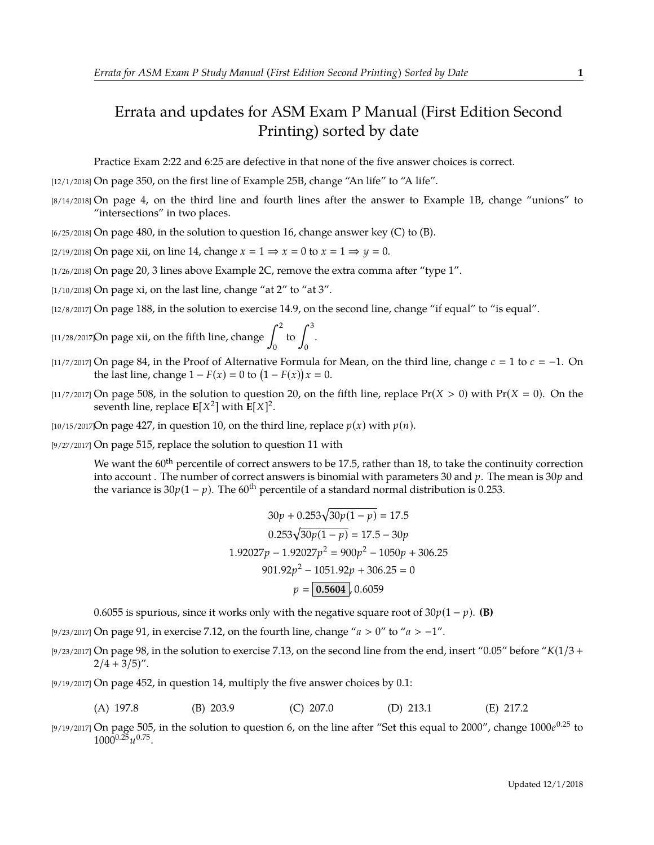## Errata and updates for ASM Exam P Manual (First Edition Second Printing) sorted by date

Practice Exam 2:22 and 6:25 are defective in that none of the five answer choices is correct.

[12/1/2018] On page 350, on the first line of Example 25B, change "An life" to "A life".

[8/14/2018] On page 4, on the third line and fourth lines after the answer to Example 1B, change "unions" to "intersections" in two places.

 $(6/25/2018)$  On page 480, in the solution to question 16, change answer key (C) to (B).

[2/19/2018] On page xii, on line 14, change  $x = 1 \Rightarrow x = 0$  to  $x = 1 \Rightarrow y = 0$ .

[1/26/2018] On page 20, 3 lines above Example 2C, remove the extra comma after "type 1".

 $[1/10/2018]$  On page xi, on the last line, change "at 2" to "at 3".

[12/8/2017] On page 188, in the solution to exercise 14.9, on the second line, change "if equal" to "is equal".

[11/28/2017]On page xii, on the fifth line, change  $\int^2$  $\boldsymbol{0}$ to  $\int^3$ 

[11/7/2017] On page 84, in the Proof of Alternative Formula for Mean, on the third line, change  $c = 1$  to  $c = -1$ . On the last line, change  $1 - F(x) = 0$  to  $(1 - F(x))x = 0$ .

 $\boldsymbol{0}$ .

- $\left[11/7/2017\right]$  On page 508, in the solution to question 20, on the fifth line, replace  $\Pr(X > 0)$  with  $\Pr(X = 0)$ . On the seventh line, replace  $E[X^2]$  with  $E[X]^2$ .
- [10/15/2017]On page 427, in question 10, on the third line, replace  $p(x)$  with  $p(n)$ .

[9/27/2017] On page 515, replace the solution to question 11 with

We want the 60<sup>th</sup> percentile of correct answers to be 17.5, rather than 18, to take the continuity correction into account . The number of correct answers is binomial with parameters 30 and *p*. The mean is 30*p* and the variance is  $30p(1 - p)$ . The 60<sup>th</sup> percentile of a standard normal distribution is 0.253.

$$
30p + 0.253\sqrt{30p(1-p)} = 17.5
$$
  

$$
0.253\sqrt{30p(1-p)} = 17.5 - 30p
$$
  

$$
1.92027p - 1.92027p^{2} = 900p^{2} - 1050p + 306.25
$$
  

$$
901.92p^{2} - 1051.92p + 306.25 = 0
$$
  

$$
p = \boxed{0.5604}, 0.6059
$$

0.6055 is spurious, since it works only with the negative square root of 30*p*(1 − *p*). **(B)**

[9/23/2017] On page 91, in exercise 7.12, on the fourth line, change "*a* > 0" to "*a* > −1".

[9/23/2017] On page 98, in the solution to exercise 7.13, on the second line from the end, insert "0.05" before "*K*(1/3 +  $2/4 + 3/5$ ".

[9/19/2017] On page 452, in question 14, multiply the five answer choices by 0.1:

(A) 197.8 (B) 203.9 (C) 207.0 (D) 213.1 (E) 217.2

[9/19/2017] On page 505, in the solution to question 6, on the line after "Set this equal to 2000", change 1000*e* <sup>0</sup>.<sup>25</sup> to  $1000^{0.25}u^{0.75}$ .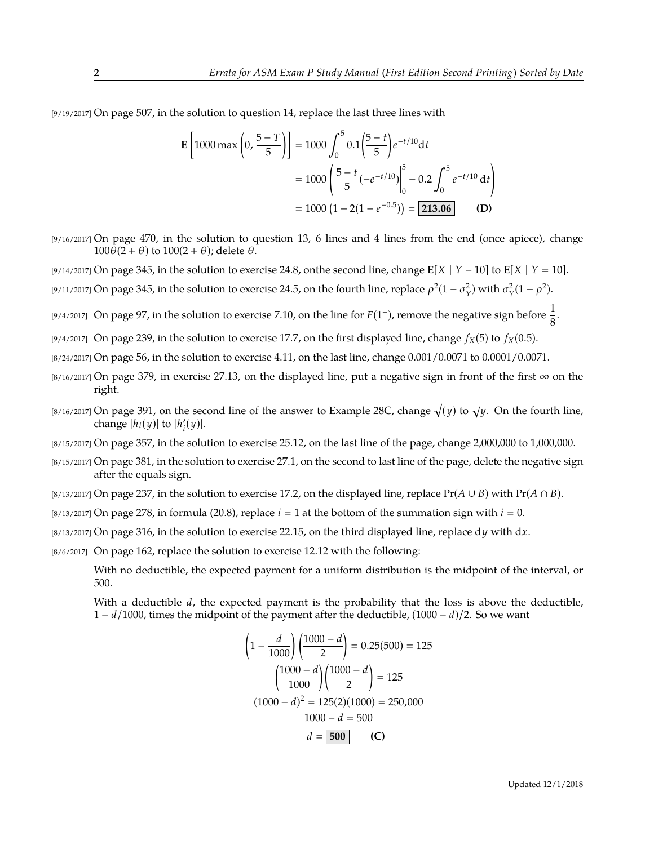[9/19/2017] On page 507, in the solution to question 14, replace the last three lines with

$$
\mathbf{E}\left[1000\max\left(0, \frac{5-T}{5}\right)\right] = 1000 \int_0^5 0.1 \left(\frac{5-t}{5}\right) e^{-t/10} dt
$$

$$
= 1000 \left(\frac{5-t}{5}(-e^{-t/10})\Big|_0^5 - 0.2 \int_0^5 e^{-t/10} dt\right)
$$

$$
= 1000 \left(1 - 2(1 - e^{-0.5})\right) = 213.06 \tag{D}
$$

- [9/16/2017] On page 470, in the solution to question 13, 6 lines and 4 lines from the end (once apiece), change  $100\theta(2 + \theta)$  to  $100(2 + \theta)$ ; delete  $\theta$ .
- [9/14/2017] On page 345, in the solution to exercise 24.8, onthe second line, change **E**[*X* | *Y* − 10] to **E**[*X* | *Y* 10].
- <sup>[9/11/2017] On page 345, in the solution to exercise 24.5, on the fourth line, replace  $\rho^2(1-\sigma_Y^2)$  with  $\sigma_Y^2(1-\rho^2)$ .</sup>
- [9/4/2017] On page 97, in the solution to exercise 7.10, on the line for  $F(1^-)$ , remove the negative sign before  $\frac{1}{8}$ .
- [9/4/2017] On page 239, in the solution to exercise 17.7, on the first displayed line, change  $f_X(5)$  to  $f_X(0.5)$ .
- [8/24/2017] On page 56, in the solution to exercise 4.11, on the last line, change 0.001/0.0071 to 0.0001/0.0071.
- [8/16/2017] On page 379, in exercise 27.13, on the displayed line, put a negative sign in front of the first  $\infty$  on the right.
- $_{[8/16/2017]}$  On page 391, on the second line of the answer to Example 28C, change  $\sqrt(y)$  to  $\sqrt{y}$ . On the fourth line, change  $|h_i(y)|$  to  $|h'_i$  $\prime_i'(y)$ .
- [8/15/2017] On page 357, in the solution to exercise 25.12, on the last line of the page, change 2,000,000 to 1,000,000.
- [8/15/2017] On page 381, in the solution to exercise 27.1, on the second to last line of the page, delete the negative sign after the equals sign.
- [8/13/2017] On page 237, in the solution to exercise 17.2, on the displayed line, replace  $Pr(A \cup B)$  with  $Pr(A \cap B)$ .
- $[8/13/2017]$  On page 278, in formula (20.8), replace  $i = 1$  at the bottom of the summation sign with  $i = 0$ .
- [8/13/2017] On page 316, in the solution to exercise 22.15, on the third displayed line, replace d*y* with d*x*.
- [8/6/2017] On page 162, replace the solution to exercise 12.12 with the following:

With no deductible, the expected payment for a uniform distribution is the midpoint of the interval, or 500.

With a deductible *d*, the expected payment is the probability that the loss is above the deductible, 1 − *d*/1000, times the midpoint of the payment after the deductible, (1000 − *d*)/2. So we want

$$
\left(1 - \frac{d}{1000}\right) \left(\frac{1000 - d}{2}\right) = 0.25(500) = 125
$$

$$
\left(\frac{1000 - d}{1000}\right) \left(\frac{1000 - d}{2}\right) = 125
$$

$$
(1000 - d)^2 = 125(2)(1000) = 250,000
$$

$$
1000 - d = 500
$$

$$
d = 500
$$
 (C)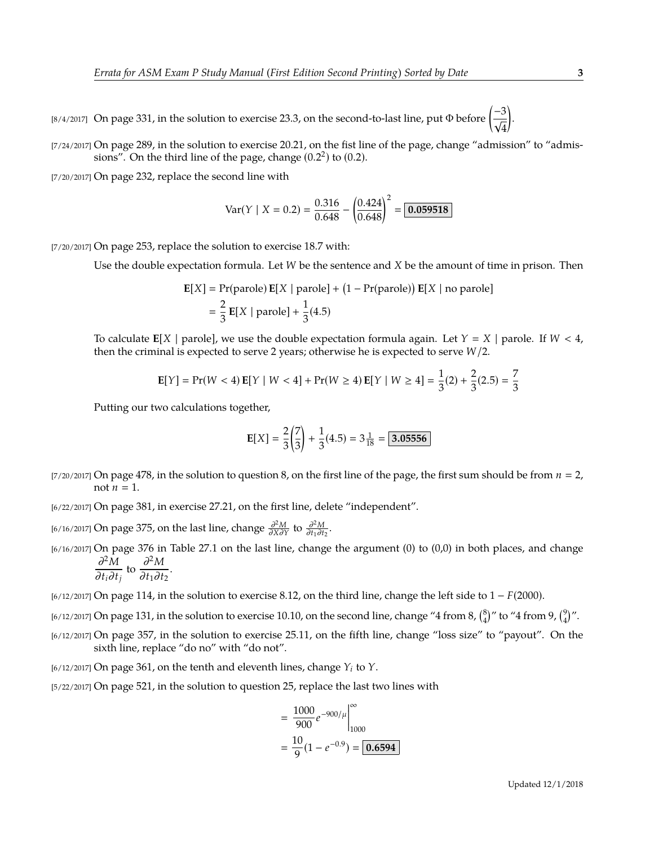[8/4/2017] On page 331, in the solution to exercise 23.3, on the second-to-last line, put Φ before  $\left( \frac{-3}{\sqrt{2}} \right)$ 4

 $[7/24/2017]$  On page 289, in the solution to exercise 20.21, on the fist line of the page, change "admission" to "admissions". On the third line of the page, change  $(0.2^2)$  to  $(0.2)$ .

[7/20/2017] On page 232, replace the second line with

$$
\text{Var}(Y \mid X = 0.2) = \frac{0.316}{0.648} - \left(\frac{0.424}{0.648}\right)^2 = \boxed{0.059518}
$$

[7/20/2017] On page 253, replace the solution to exercise 18.7 with:

Use the double expectation formula. Let *W* be the sentence and *X* be the amount of time in prison. Then

$$
\mathbf{E}[X] = \text{Pr}(\text{parole}) \mathbf{E}[X \mid \text{parole}] + (1 - \text{Pr}(\text{parole})) \mathbf{E}[X \mid \text{no parole}]
$$

$$
= \frac{2}{3} \mathbf{E}[X \mid \text{parole}] + \frac{1}{3}(4.5)
$$

To calculate  $E[X \mid \text{parole}]$ , we use the double expectation formula again. Let  $Y = X \mid \text{parole}$ . If  $W < 4$ , then the criminal is expected to serve 2 years; otherwise he is expected to serve *W*/2.

$$
\mathbf{E}[Y] = \Pr(W < 4) \mathbf{E}[Y \mid W < 4] + \Pr(W \ge 4) \mathbf{E}[Y \mid W \ge 4] = \frac{1}{3}(2) + \frac{2}{3}(2.5) = \frac{7}{3}
$$

Putting our two calculations together,

$$
\mathbf{E}[X] = \frac{2}{3} \left( \frac{7}{3} \right) + \frac{1}{3} (4.5) = 3 \frac{1}{18} = \boxed{3.05556}
$$

 $[7/20/2017]$  On page 478, in the solution to question 8, on the first line of the page, the first sum should be from  $n = 2$ , not  $n = 1$ .

[6/22/2017] On page 381, in exercise 27.21, on the first line, delete "independent".

*(*<sup>6/16/2017) On page 375, on the last line, change  $\frac{\partial^2 M}{\partial X \partial Y}$  to  $\frac{\partial^2 M}{\partial t_1 \partial t}$ </sup>  $\frac{\partial^2 M}{\partial t_1 \partial t_2}$ .

[6/16/2017] On page 376 in Table 27.1 on the last line, change the argument (0) to (0,0) in both places, and change ∂ <sup>2</sup>*M*  $\frac{\partial^2 M}{\partial t_i \partial t_j}$  to  $\frac{\partial^2 M}{\partial t_1 \partial t}$ .

$$
\overline{\partial t_i \partial t_j} \overset{\text{no}}{\longrightarrow} \overline{\partial t_1 \partial t_2}
$$

[6/12/2017] On page 114, in the solution to exercise 8.12, on the third line, change the left side to 1 − *F*(2000).

- [6/12/2017] On page 131, in the solution to exercise 10.10, on the second line, change "4 from 8,  $\binom{8}{4}$ " to "4 from 9,  $\binom{9}{4}$ ".
- [6/12/2017] On page 357, in the solution to exercise 25.11, on the fifth line, change "loss size" to "payout". On the sixth line, replace "do no" with "do not".
- [6/12/2017] On page 361, on the tenth and eleventh lines, change *Y<sup>i</sup>* to *Y*.
- [5/22/2017] On page 521, in the solution to question 25, replace the last two lines with

$$
= \frac{1000}{900} e^{-900/\mu} \Big|_{1000}^{\infty}
$$
  
=  $\frac{10}{9} (1 - e^{-0.9}) = 0.6594$ 

.